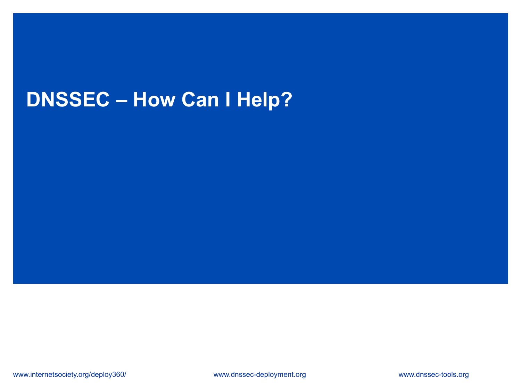# **DNSSEC – How Can I Help?**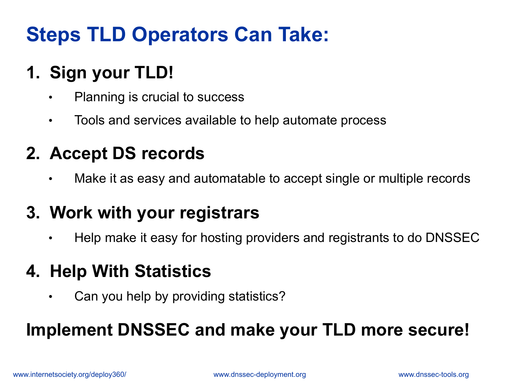# **Steps TLD Operators Can Take:**

# **1. Sign your TLD!**

- Planning is crucial to success
- Tools and services available to help automate process

### **2. Accept DS records**

Make it as easy and automatable to accept single or multiple records

#### **3. Work with your registrars**

• Help make it easy for hosting providers and registrants to do DNSSEC

#### **4. Help With Statistics**

• Can you help by providing statistics?

## **Implement DNSSEC and make your TLD more secure!**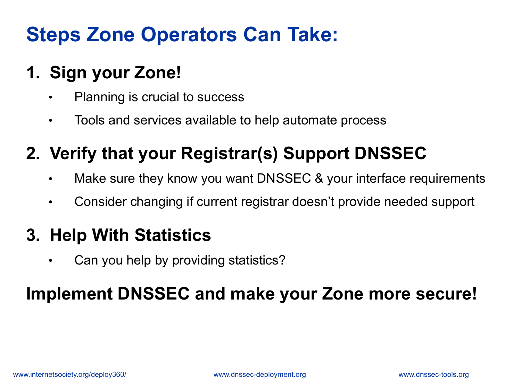# **Steps Zone Operators Can Take:**

# **1. Sign your Zone!**

- Planning is crucial to success
- Tools and services available to help automate process

# **2. Verify that your Registrar(s) Support DNSSEC**

- Make sure they know you want DNSSEC & your interface requirements
- Consider changing if current registrar doesn't provide needed support

#### **3. Help With Statistics**

• Can you help by providing statistics?

## **Implement DNSSEC and make your Zone more secure!**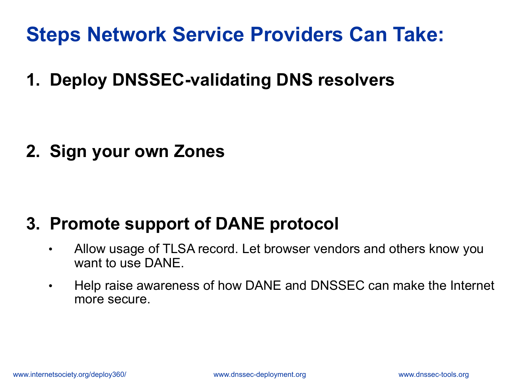# **Steps Network Service Providers Can Take:**

**1. Deploy DNSSEC-validating DNS resolvers** 

**2. Sign your own Zones** 

#### **3. Promote support of DANE protocol**

- Allow usage of TLSA record. Let browser vendors and others know you want to use DANE.
- Help raise awareness of how DANE and DNSSEC can make the Internet more secure.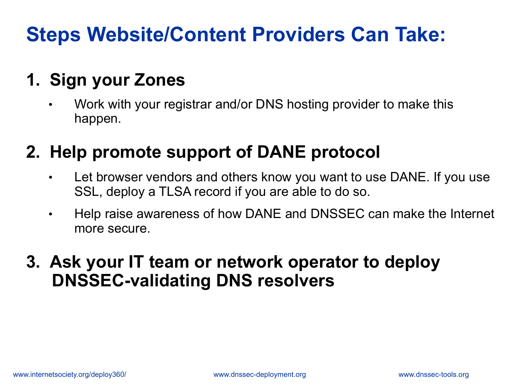# **Steps Website/Content Providers Can Take:**

## **1. Sign your Zones**

• Work with your registrar and/or DNS hosting provider to make this happen.

## **2. Help promote support of DANE protocol**

- Let browser vendors and others know you want to use DANE. If you use SSL, deploy a TLSA record if you are able to do so.
- Help raise awareness of how DANE and DNSSEC can make the Internet more secure.

#### **3. Ask your IT team or network operator to deploy DNSSEC-validating DNS resolvers**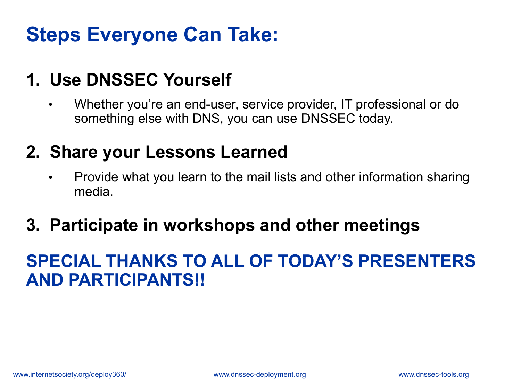# **Steps Everyone Can Take:**

## **1. Use DNSSEC Yourself**

• Whether you're an end-user, service provider, IT professional or do something else with DNS, you can use DNSSEC today.

#### **2. Share your Lessons Learned**

• Provide what you learn to the mail lists and other information sharing media.

#### **3. Participate in workshops and other meetings**

#### **SPECIAL THANKS TO ALL OF TODAY'S PRESENTERS AND PARTICIPANTS!!**